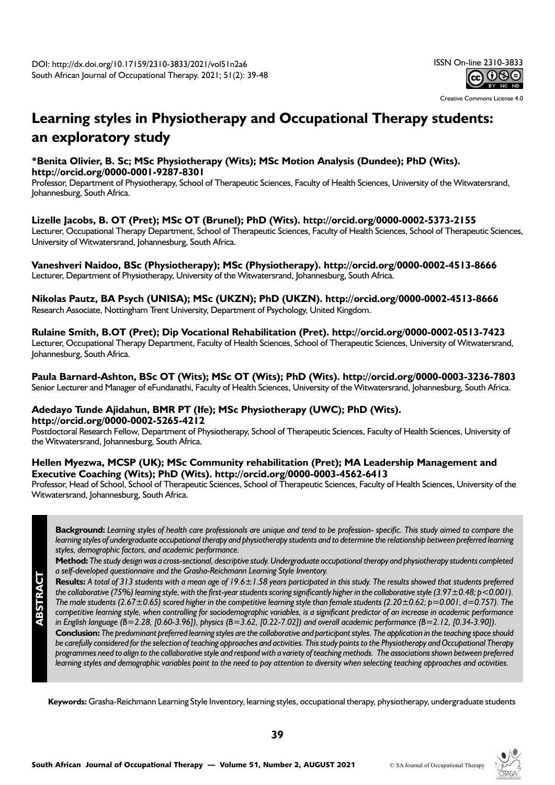

Creative Commons License 4.0

# **Learning styles in Physiotherapy and Occupational Therapy students: an exploratory study**

# **\*Benita Olivier, B. Sc; MSc Physiotherapy (Wits); MSc Motion Analysis (Dundee); PhD (Wits). http://orcid.org/0000-0001-9287-8301**

Professor, Department of Physiotherapy, School of Therapeutic Sciences, Faculty of Health Sciences, University of the Witwatersrand, Johannesburg, South Africa.

# **Lizelle Jacobs, B. OT (Pret); MSc OT (Brunel); PhD (Wits). http://orcid.org/0000-0002-5373-2155**

Lecturer, Occupational Therapy Department, School of Therapeutic Sciences, Faculty of Health Sciences, School of Therapeutic Sciences, University of Witwatersrand, Johannesburg, South Africa.

## **Vaneshveri Naidoo, BSc (Physiotherapy); MSc (Physiotherapy). http://orcid.org/0000-0002-4513-8666** Lecturer, Department of Physiotherapy, University of the Witwatersrand, Johannesburg, South Africa.

**Nikolas Pautz, BA Psych (UNISA); MSc (UKZN); PhD (UKZN). http://orcid.org/0000-0002-4513-8666** Research Associate, Nottingham Trent University, Department of Psychology, United Kingdom.

**Rulaine Smith, B.OT (Pret); Dip Vocational Rehabilitation (Pret). http://orcid.org/0000-0002-0513-7423** Lecturer, Occupational Therapy Department, Faculty of Health Sciences, School of Therapeutic Sciences, University of Witwatersrand,

Johannesburg, South Africa.

**ABSTRACT**

**Paula Barnard-Ashton, BSc OT (Wits); MSc OT (Wits); PhD (Wits). http://orcid.org/0000-0003-3236-7803** Senior Lecturer and Manager of eFundanathi, Faculty of Health Sciences, University of the Witwatersrand, Johannesburg, South Africa.

# **Adedayo Tunde Ajidahun, BMR PT (Ife); MSc Physiotherapy (UWC); PhD (Wits).**

**http://orcid.org/0000-0002-5265-4212** 

Postdoctoral Research Fellow, Department of Physiotherapy, School of Therapeutic Sciences, Faculty of Health Sciences, University of the Witwatersrand, Johannesburg, South Africa.

# **Hellen Myezwa, MCSP (UK); MSc Community rehabilitation (Pret); MA Leadership Management and Executive Coaching (Wits); PhD (Wits). http://orcid.org/0000-0003-4562-6413**

Professor, Head of School, School of Therapeutic Sciences, School of Therapeutic Sciences, Faculty of Health Sciences, University of the Witwatersrand, Johannesburg, South Africa.

**Background:** *Learning styles of health care professionals are unique and tend to be profession- specific. This study aimed to compare the*  learning styles of undergraduate occupational therapy and physiotherapy students and to determine the relationship between preferred learning *styles, demographic factors, and academic performance.* 

**Method:** *The study design was a cross-sectional, descriptive study. Undergraduate occupational therapy and physiotherapy students completed a self-developed questionnaire and the Grasha-Reichmann Learning Style Inventory.* 

**Results:** *A total of 313 students with a mean age of 19.6±1.58 years participated in this study. The results showed that students preferred the collaborative (75%) learning style, with the first-year students scoring significantly higher in the collaborative style (3.97±0.48; p<0.001). The male students (2.67±0.65) scored higher in the competitive learning style than female students (2.20±0.62; p=0.001, d=0.757). The competitive learning style, when controlling for sociodemographic variables, is a significant predictor of an increase in academic performance in English language (B=2.28, [0.60-3.96]), physics (B=3.62, [0.22-7.02]) and overall academic performance (B=2.12, [0.34-3.90]).* 

**Conclusion:** *The predominant preferred learning styles are the collaborative and participant styles. The application in the teaching space should be carefully considered for the selection of teaching approaches and activities. This study points to the Physiotherapy and Occupational Therapy programmes need to align to the collaborative style and respond with a variety of teaching methods. The associations shown between preferred learning styles and demographic variables point to the need to pay attention to diversity when selecting teaching approaches and activities.*

**Keywords:** Grasha-Reichmann Learning Style Inventory, learning styles, occupational therapy, physiotherapy, undergraduate students

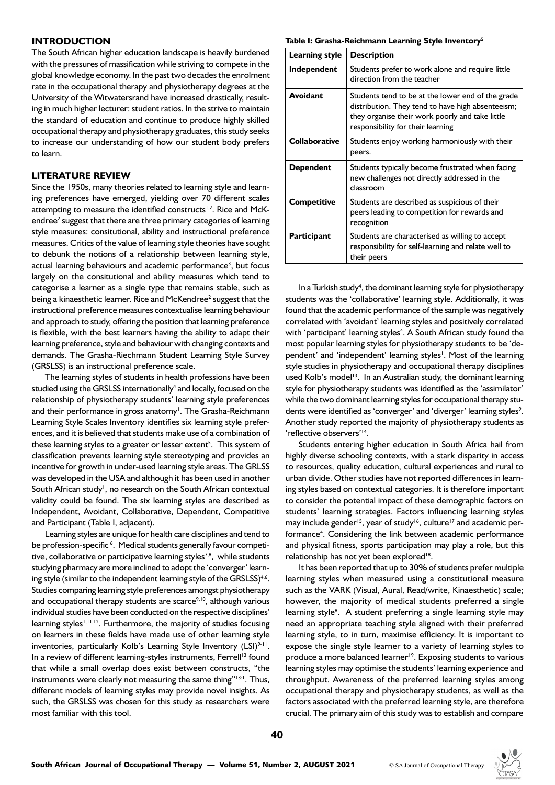## **INTRODUCTION**

The South African higher education landscape is heavily burdened with the pressures of massification while striving to compete in the global knowledge economy. In the past two decades the enrolment rate in the occupational therapy and physiotherapy degrees at the University of the Witwatersrand have increased drastically, resulting in much higher lecturer: student ratios. In the strive to maintain the standard of education and continue to produce highly skilled occupational therapy and physiotherapy graduates, this study seeks to increase our understanding of how our student body prefers to learn.

## **LITERATURE REVIEW**

Since the 1950s, many theories related to learning style and learning preferences have emerged, yielding over 70 different scales attempting to measure the identified constructs<sup>1,2</sup>. Rice and McKendree<sup>2</sup> suggest that there are three primary categories of learning style measures: consitutional, ability and instructional preference measures. Critics of the value of learning style theories have sought to debunk the notions of a relationship between learning style, actual learning behaviours and academic performance<sup>3</sup>, but focus largely on the consitutional and ability measures which tend to categorise a learner as a single type that remains stable, such as being a kinaesthetic learner. Rice and McKendree<sup>2</sup> suggest that the instructional preference measures contextualise learning behaviour and approach to study, offering the position that learning preference is flexible, with the best learners having the ability to adapt their learning preference, style and behaviour with changing contexts and demands. The Grasha-Riechmann Student Learning Style Survey (GRSLSS) is an instructional preference scale.

The learning styles of students in health professions have been studied using the GRSLSS internationally<sup>4</sup> and locally, focused on the relationship of physiotherapy students' learning style preferences and their performance in gross anatomy<sup>1</sup>. The Grasha-Reichmann Learning Style Scales Inventory identifies six learning style preferences, and it is believed that students make use of a combination of these learning styles to a greater or lesser extent<sup>5</sup>. This system of classification prevents learning style stereotyping and provides an incentive for growth in under-used learning style areas. The GRLSS was developed in the USA and although it has been used in another South African study<sup>1</sup>, no research on the South African contextual validity could be found. The six learning styles are described as Independent, Avoidant, Collaborative, Dependent, Competitive and Participant (Table I, adjacent).

Learning styles are unique for health care disciplines and tend to be profession-specific<sup>6</sup>. Medical students generally favour competitive, collaborative or participative learning styles<sup>7,8</sup>, while students studying pharmacy are more inclined to adopt the 'converger' learning style (similar to the independent learning style of the GRSLSS) $4.6$ . Studies comparing learning style preferences amongst physiotherapy and occupational therapy students are scarce $9,10$ , although various individual studies have been conducted on the respective disciplines' learning styles<sup> $1,11,12$ </sup>. Furthermore, the majority of studies focusing on learners in these fields have made use of other learning style inventories, particularly Kolb's Learning Style Inventory (LSI)<sup>9-11</sup>. In a review of different learning-styles instruments, Ferrell<sup>13</sup> found that while a small overlap does exist between constructs, "the instruments were clearly not measuring the same thing"<sup>13:1</sup>. Thus, different models of learning styles may provide novel insights. As such, the GRSLSS was chosen for this study as researchers were most familiar with this tool.

#### **Table I: Grasha-Reichmann Learning Style Inventory5**

| Learning style       | <b>Description</b>                                                                                                                                                                             |
|----------------------|------------------------------------------------------------------------------------------------------------------------------------------------------------------------------------------------|
| Independent          | Students prefer to work alone and require little<br>direction from the teacher                                                                                                                 |
| <b>Avoidant</b>      | Students tend to be at the lower end of the grade<br>distribution. They tend to have high absenteeism;<br>they organise their work poorly and take little<br>responsibility for their learning |
| <b>Collaborative</b> | Students enjoy working harmoniously with their<br>peers.                                                                                                                                       |
| Dependent            | Students typically become frustrated when facing<br>new challenges not directly addressed in the<br>classroom                                                                                  |
| Competitive          | Students are described as suspicious of their<br>peers leading to competition for rewards and<br>recognition                                                                                   |
| Participant          | Students are characterised as willing to accept<br>responsibility for self-learning and relate well to<br>their peers                                                                          |

In a Turkish study<sup>4</sup>, the dominant learning style for physiotherapy students was the 'collaborative' learning style. Additionally, it was found that the academic performance of the sample was negatively correlated with 'avoidant' learning styles and positively correlated with 'participant' learning styles<sup>4</sup>. A South African study found the most popular learning styles for physiotherapy students to be 'dependent' and 'independent' learning styles<sup>1</sup>. Most of the learning style studies in physiotherapy and occupational therapy disciplines used Kolb's model<sup>13</sup>. In an Australian study, the dominant learning style for physiotherapy students was identified as the 'assimilator' while the two dominant learning styles for occupational therapy students were identified as 'converger' and 'diverger' learning styles<sup>9</sup>. Another study reported the majority of physiotherapy students as 'reflective observers'14.

Students entering higher education in South Africa hail from highly diverse schooling contexts, with a stark disparity in access to resources, quality education, cultural experiences and rural to urban divide. Other studies have not reported differences in learning styles based on contextual categories. It is therefore important to consider the potential impact of these demographic factors on students' learning strategies. Factors influencing learning styles may include gender<sup>15</sup>, year of study<sup>16</sup>, culture<sup>17</sup> and academic performance<sup>4</sup>. Considering the link between academic performance and physical fitness, sports participation may play a role, but this relationship has not yet been explored<sup>18</sup>.

It has been reported that up to 30% of students prefer multiple learning styles when measured using a constitutional measure such as the VARK (Visual, Aural, Read/write, Kinaesthetic) scale; however, the majority of medical students preferred a single learning style<sup>8</sup>. A student preferring a single learning style may need an appropriate teaching style aligned with their preferred learning style, to in turn, maximise efficiency. It is important to expose the single style learner to a variety of learning styles to produce a more balanced learner<sup>19</sup>. Exposing students to various learning styles may optimise the students' learning experience and throughput. Awareness of the preferred learning styles among occupational therapy and physiotherapy students, as well as the factors associated with the preferred learning style, are therefore crucial. The primary aim of this study was to establish and compare

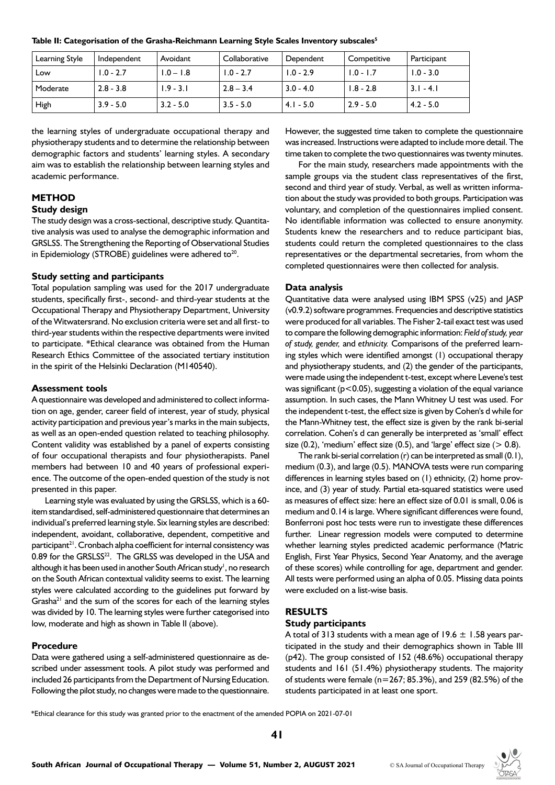| Table II: Categorisation of the Grasha-Reichmann Learning Style Scales Inventory subscales <sup>5</sup> |  |  |  |  |
|---------------------------------------------------------------------------------------------------------|--|--|--|--|
|---------------------------------------------------------------------------------------------------------|--|--|--|--|

| Learning Style | Independent | Avoidant    | Collaborative | Dependent   | Competitive | Participant |
|----------------|-------------|-------------|---------------|-------------|-------------|-------------|
| Low            | $1.0 - 2.7$ | $1.0 - 1.8$ | $1.0 - 2.7$   | $1.0 - 2.9$ | $1.0 - 1.7$ | $1.0 - 3.0$ |
| Moderate       | $2.8 - 3.8$ | $1.9 - 3.1$ | $2.8 - 3.4$   | $3.0 - 4.0$ | $1.8 - 2.8$ | $3.1 - 4.1$ |
| High           | $3.9 - 5.0$ | $3.2 - 5.0$ | $3.5 - 5.0$   | $4.1 - 5.0$ | $2.9 - 5.0$ | $4.2 - 5.0$ |

the learning styles of undergraduate occupational therapy and physiotherapy students and to determine the relationship between demographic factors and students' learning styles. A secondary aim was to establish the relationship between learning styles and academic performance.

# **METHOD**

# **Study design**

The study design was a cross-sectional, descriptive study. Quantitative analysis was used to analyse the demographic information and GRSLSS. The Strengthening the Reporting of Observational Studies in Epidemiology (STROBE) guidelines were adhered to $20$ .

### **Study setting and participants**

Total population sampling was used for the 2017 undergraduate students, specifically first-, second- and third-year students at the Occupational Therapy and Physiotherapy Department, University of the Witwatersrand. No exclusion criteria were set and all first- to third-year students within the respective departments were invited to participate. \*Ethical clearance was obtained from the Human Research Ethics Committee of the associated tertiary institution in the spirit of the Helsinki Declaration (M140540).

#### **Assessment tools**

A questionnaire was developed and administered to collect information on age, gender, career field of interest, year of study, physical activity participation and previous year's marks in the main subjects, as well as an open-ended question related to teaching philosophy. Content validity was established by a panel of experts consisting of four occupational therapists and four physiotherapists. Panel members had between 10 and 40 years of professional experience. The outcome of the open-ended question of the study is not presented in this paper.

Learning style was evaluated by using the GRSLSS, which is a 60 item standardised, self-administered questionnaire that determines an individual's preferred learning style. Six learning styles are described: independent, avoidant, collaborative, dependent, competitive and participant<sup>21</sup>. Cronbach alpha coefficient for internal consistency was 0.89 for the GRSLSS<sup>22</sup>. The GRLSS was developed in the USA and although it has been used in another South African study<sup>1</sup>, no research on the South African contextual validity seems to exist. The learning styles were calculated according to the guidelines put forward by  $Grasha<sup>21</sup>$  and the sum of the scores for each of the learning styles was divided by 10. The learning styles were further categorised into low, moderate and high as shown in Table II (above).

#### **Procedure**

Data were gathered using a self-administered questionnaire as described under assessment tools. A pilot study was performed and included 26 participants from the Department of Nursing Education. Following the pilot study, no changes were made to the questionnaire. However, the suggested time taken to complete the questionnaire was increased. Instructions were adapted to include more detail. The time taken to complete the two questionnaires was twenty minutes.

For the main study, researchers made appointments with the sample groups via the student class representatives of the first, second and third year of study. Verbal, as well as written information about the study was provided to both groups. Participation was voluntary, and completion of the questionnaires implied consent. No identifiable information was collected to ensure anonymity. Students knew the researchers and to reduce participant bias, students could return the completed questionnaires to the class representatives or the departmental secretaries, from whom the completed questionnaires were then collected for analysis.

### **Data analysis**

Quantitative data were analysed using IBM SPSS (v25) and JASP (v0.9.2) software programmes. Frequencies and descriptive statistics were produced for all variables. The Fisher 2-tail exact test was used to compare the following demographic information: *Field of study, year of study, gender,* and *ethnicity.* Comparisons of the preferred learning styles which were identified amongst (1) occupational therapy and physiotherapy students, and (2) the gender of the participants, were made using the independent t-test, except where Levene's test was significant ( $p$ <0.05), suggesting a violation of the equal variance assumption. In such cases, the Mann Whitney U test was used. For the independent t-test, the effect size is given by Cohen's d while for the Mann-Whitney test, the effect size is given by the rank bi-serial correlation. Cohen's d can generally be interpreted as 'small' effect size  $(0.2)$ , 'medium' effect size  $(0.5)$ , and 'large' effect size  $(> 0.8)$ .

The rank bi-serial correlation (r) can be interpreted as small (0.1), medium (0.3), and large (0.5). MANOVA tests were run comparing differences in learning styles based on (1) ethnicity, (2) home province, and (3) year of study. Partial eta-squared statistics were used as measures of effect size: here an effect size of 0.01 is small, 0.06 is medium and 0.14 is large. Where significant differences were found, Bonferroni post hoc tests were run to investigate these differences further. Linear regression models were computed to determine whether learning styles predicted academic performance (Matric English, First Year Physics, Second Year Anatomy, and the average of these scores) while controlling for age, department and gender. All tests were performed using an alpha of 0.05. Missing data points were excluded on a list-wise basis.

#### **RESULTS**

## **Study participants**

A total of 313 students with a mean age of 19.6  $\pm$  1.58 years participated in the study and their demographics shown in Table III (p42). The group consisted of 152 (48.6%) occupational therapy students and 161 (51.4%) physiotherapy students. The majority of students were female (n=267; 85.3%), and 259 (82.5%) of the students participated in at least one sport.

\*Ethical clearance for this study was granted prior to the enactment of the amended POPIA on 2021-07-01

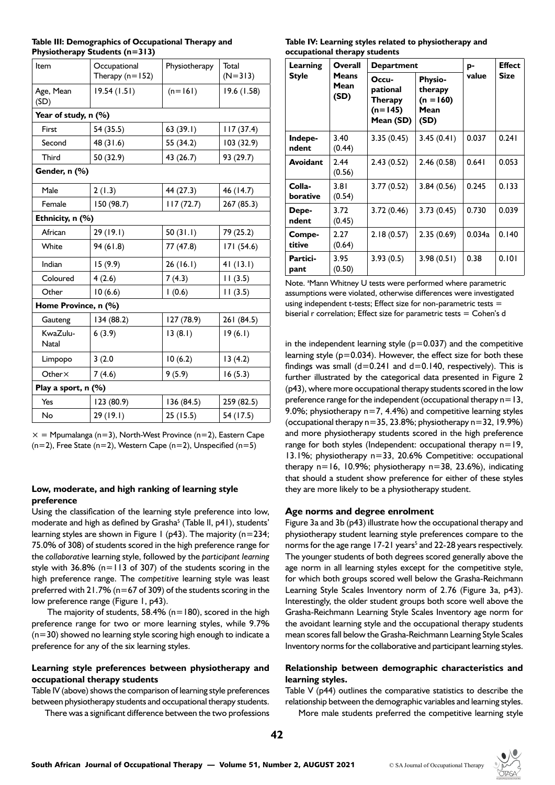|                                | Table III: Demographics of Occupational Therapy and |  |
|--------------------------------|-----------------------------------------------------|--|
| Physiotherapy Students (n=313) |                                                     |  |

| Item                     | Occupational<br>Therapy $(n=152)$ | Physiotherapy | Total<br>$(N=313)$ |  |
|--------------------------|-----------------------------------|---------------|--------------------|--|
| Age, Mean<br>(SD)        | 19.54(1.51)                       | $(n=161)$     | 19.6 (1.58)        |  |
| Year of study, n (%)     |                                   |               |                    |  |
| First                    | 54 (35.5)                         | 63(39.1)      | 117(37.4)          |  |
| Second                   | 48 (31.6)                         | 55 (34.2)     | 103 (32.9)         |  |
| Third                    | 50 (32.9)                         | 43 (26.7)     | 93 (29.7)          |  |
| Gender, n (%)            |                                   |               |                    |  |
| Male                     | 2(1.3)                            | 44 (27.3)     | 46 (14.7)          |  |
| Female                   | 150 (98.7)                        | 117(72.7)     | 267(85.3)          |  |
| Ethnicity, n (%)         |                                   |               |                    |  |
| African                  | 29 (19.1)                         | 50(31.1)      | 79 (25.2)          |  |
| White                    | 94 (61.8)                         | 77 (47.8)     | 171(54.6)          |  |
| Indian                   | 15(9.9)                           | 26(16.1)      | 41(13.1)           |  |
| Coloured                 | 4(2.6)                            | 7(4.3)        | 11(3.5)            |  |
| Other                    | 10(6.6)                           | 1(0.6)        | 11(3.5)            |  |
| Home Province, n (%)     |                                   |               |                    |  |
| Gauteng                  | 134 (88.2)                        | 127 (78.9)    | 261 (84.5)         |  |
| KwaZulu-<br><b>Natal</b> | 6(3.9)                            | 13(8.1)       | 19(6.1)            |  |
| Limpopo                  | 3(2.0)                            | 10(6.2)       | 13(4.2)            |  |
| Other $\times$           | 7(4.6)                            | 9(5.9)        | 16(5.3)            |  |
| Play a sport, n (%)      |                                   |               |                    |  |
| Yes                      | 123 (80.9)                        | 136 (84.5)    | 259 (82.5)         |  |
| No                       | 29 (19.1)                         | 25(15.5)      | 54 (17.5)          |  |

 $x = M$ pumalanga (n=3), North-West Province (n=2), Eastern Cape  $(n=2)$ , Free State  $(n=2)$ , Western Cape  $(n=2)$ , Unspecified  $(n=5)$ 

## **Low, moderate, and high ranking of learning style preference**

Using the classification of the learning style preference into low, moderate and high as defined by Grasha<sup>5</sup> (Table II, p41), students' learning styles are shown in Figure 1 (p43). The majority (n=234; 75.0% of 308) of students scored in the high preference range for the *collaborative* learning style, followed by the *participant learning*  style with  $36.8\%$  (n=113 of 307) of the students scoring in the high preference range. The *competitive* learning style was least preferred with 21.7% (n=67 of 309) of the students scoring in the low preference range (Figure 1, p43).

The majority of students,  $58.4\%$  (n=180), scored in the high preference range for two or more learning styles, while 9.7%  $(n=30)$  showed no learning style scoring high enough to indicate a preference for any of the six learning styles.

# **Learning style preferences between physiotherapy and occupational therapy students**

Table IV (above) shows the comparison of learning style preferences between physiotherapy students and occupational therapy students.

There was a significant difference between the two professions

**Table IV: Learning styles related to physiotherapy and occupational therapy students** 

| Learning           | Overall                      | Department                                             | p-                                                       | <b>Effect</b> |             |
|--------------------|------------------------------|--------------------------------------------------------|----------------------------------------------------------|---------------|-------------|
| <b>Style</b>       | <b>Means</b><br>Mean<br>(SD) | Occu-<br>pational<br>Therapy<br>$(n=145)$<br>Mean (SD) | <b>Physio-</b><br>therapy<br>$(n = 160)$<br>Mean<br>(SD) | value         | <b>Size</b> |
| Indepe-<br>ndent   | 3.40<br>(0.44)               | 3.35(0.45)                                             | 3.45(0.41)                                               | 0.037         | 0.241       |
| Avoidant           | 2.44<br>(0.56)               | 2.43(0.52)                                             | 2.46(0.58)                                               | 0.641         | 0.053       |
| Colla-<br>borative | 3.81<br>(0.54)               | 3.77(0.52)                                             | 3.84(0.56)                                               | 0.245         | 0.133       |
| Depe-<br>ndent     | 3.72<br>(0.45)               | 3.72(0.46)                                             | 3.73(0.45)                                               | 0.730         | 0.039       |
| Compe-<br>titive   | 2.27<br>(0.64)               | 2.18(0.57)                                             | 2.35(0.69)                                               | 0.034a        | 0.140       |
| Partici-<br>pant   | 3.95<br>(0.50)               | 3.93(0.5)                                              | 3.98(0.51)                                               | 0.38          | 0.101       |

Note. <sup>a</sup>Mann Whitney U tests were performed where parametric assumptions were violated, otherwise differences were investigated using independent t-tests; Effect size for non-parametric tests = biserial r correlation; Effect size for parametric tests = Cohen's d

in the independent learning style  $(p=0.037)$  and the competitive learning style  $(p=0.034)$ . However, the effect size for both these findings was small  $(d=0.241$  and  $d=0.140$ , respectively). This is further illustrated by the categorical data presented in Figure 2 (p43), where more occupational therapy students scored in the low preference range for the independent (occupational therapy n=13, 9.0%; physiotherapy  $n=7, 4.4%$ ) and competitive learning styles (occupational therapy n=35, 23.8%; physiotherapy n=32, 19.9%) and more physiotherapy students scored in the high preference range for both styles (Independent: occupational therapy  $n=19$ , 13.1%; physiotherapy n=33, 20.6% Competitive: occupational therapy  $n=16$ , 10.9%; physiotherapy  $n=38$ , 23.6%), indicating that should a student show preference for either of these styles they are more likely to be a physiotherapy student.

## **Age norms and degree enrolment**

Figure 3a and 3b (p43) illustrate how the occupational therapy and physiotherapy student learning style preferences compare to the norms for the age range 17-21 years<sup>5</sup> and 22-28 years respectively. The younger students of both degrees scored generally above the age norm in all learning styles except for the competitive style, for which both groups scored well below the Grasha-Reichmann Learning Style Scales Inventory norm of 2.76 (Figure 3a, p43). Interestingly, the older student groups both score well above the Grasha-Reichmann Learning Style Scales Inventory age norm for the avoidant learning style and the occupational therapy students mean scores fall below the Grasha-Reichmann Learning Style Scales Inventory norms for the collaborative and participant learning styles.

# **Relationship between demographic characteristics and learning styles.**

Table V (p44) outlines the comparative statistics to describe the relationship between the demographic variables and learning styles.

More male students preferred the competitive learning style

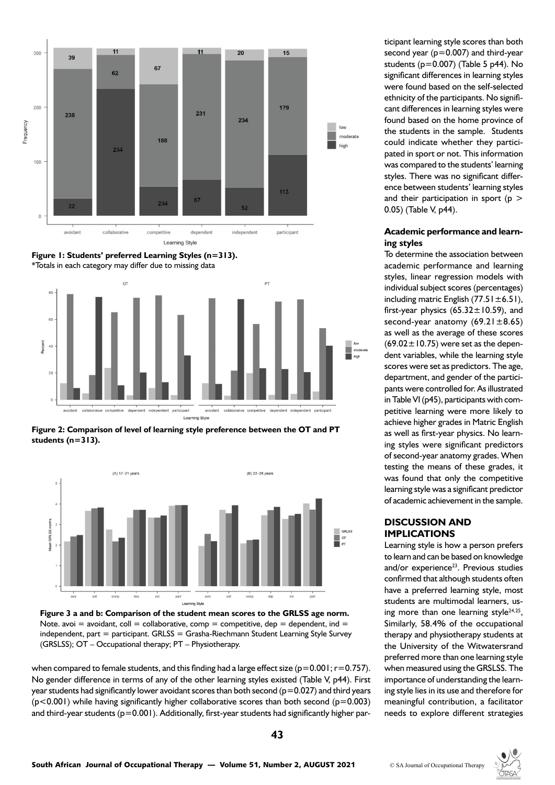





**Figure 2: Comparison of level of learning style preference between the OT and PT students (n=313).**





when compared to female students, and this finding had a large effect size ( $p=0.001$ ;  $r=0.757$ ). No gender difference in terms of any of the other learning styles existed (Table V, p44). First year students had significantly lower avoidant scores than both second ( $p=0.027$ ) and third years  $(p<0.001)$  while having significantly higher collaborative scores than both second  $(p=0.003)$ and third-year students  $(p=0.001)$ . Additionally, first-year students had significantly higher par-

ticipant learning style scores than both second year  $(p=0.007)$  and third-year students (p=0.007) (Table 5 p44). No significant differences in learning styles were found based on the self-selected ethnicity of the participants. No significant differences in learning styles were found based on the home province of the students in the sample. Students could indicate whether they participated in sport or not. This information was compared to the students' learning styles. There was no significant difference between students' learning styles and their participation in sport ( $p >$ 0.05) (Table V, p44).

## **Academic performance and learning styles**

To determine the association between academic performance and learning styles, linear regression models with individual subject scores (percentages) including matric English  $(77.51 \pm 6.51)$ , first-year physics  $(65.32 \pm 10.59)$ , and second-year anatomy  $(69.21 \pm 8.65)$ as well as the average of these scores  $(69.02 \pm 10.75)$  were set as the dependent variables, while the learning style scores were set as predictors. The age, department, and gender of the participants were controlled for. As illustrated in Table VI (p45), participants with competitive learning were more likely to achieve higher grades in Matric English as well as first-year physics. No learning styles were significant predictors of second-year anatomy grades. When testing the means of these grades, it was found that only the competitive learning style was a significant predictor of academic achievement in the sample.

# **DISCUSSION AND IMPLICATIONS**

Learning style is how a person prefers to learn and can be based on knowledge and/or experience<sup>23</sup>. Previous studies confirmed that although students often have a preferred learning style, most students are multimodal learners, using more than one learning style $24,25$ , Similarly, 58.4% of the occupational therapy and physiotherapy students at the University of the Witwatersrand preferred more than one learning style when measured using the GRSLSS. The importance of understanding the learning style lies in its use and therefore for meaningful contribution, a facilitator needs to explore different strategies

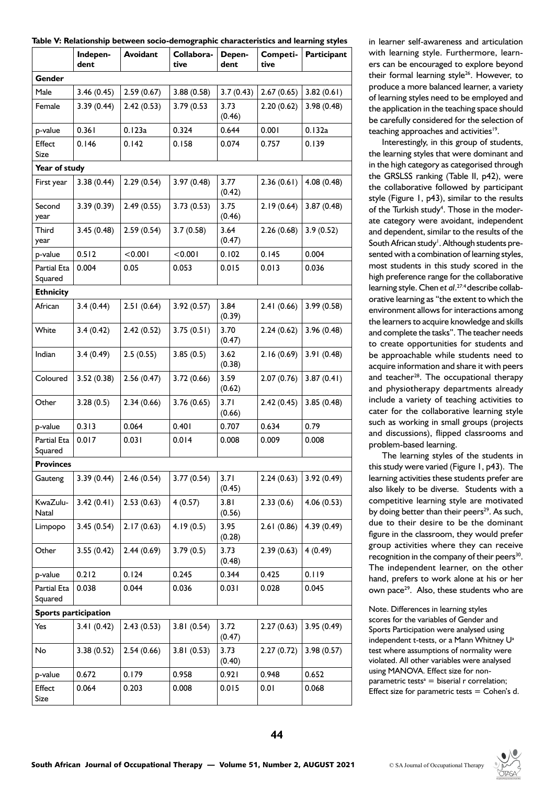|  |  |  | Table V: Relationship between socio-demographic characteristics and learning styles |
|--|--|--|-------------------------------------------------------------------------------------|
|  |  |  |                                                                                     |

|                          | Indepen-<br>dent            | Avoidant   | Collabora-<br>tive | Depen-<br>dent | Competi-<br>tive | Participant |
|--------------------------|-----------------------------|------------|--------------------|----------------|------------------|-------------|
| Gender                   |                             |            |                    |                |                  |             |
| Male                     | 3.46(0.45)                  | 2.59(0.67) | 3.88(0.58)         | 3.7(0.43)      | 2.67(0.65)       | 3.82(0.61)  |
| Female                   | 3.39(0.44)                  | 2.42(0.53) | 3.79 (0.53         | 3.73<br>(0.46) | 2.20(0.62)       | 3.98(0.48)  |
| p-value                  | 0.361                       | 0.123a     | 0.324              | 0.644          | 0.001            | 0.132a      |
| Effect<br>Size           | 0.146                       | 0.142      | 0.158              | 0.074          | 0.757            | 0.139       |
| Year of study            |                             |            |                    |                |                  |             |
| First year               | 3.38(0.44)                  | 2.29(0.54) | 3.97(0.48)         | 3.77<br>(0.42) | 2.36(0.61)       | 4.08(0.48)  |
| Second<br>year           | 3.39(0.39)                  | 2.49(0.55) | 3.73(0.53)         | 3.75<br>(0.46) | 2.19(0.64)       | 3.87(0.48)  |
| <b>Third</b><br>year     | 3.45(0.48)                  | 2.59(0.54) | 3.7(0.58)          | 3.64<br>(0.47) | 2.26(0.68)       | 3.9(0.52)   |
| p-value                  | 0.512                       | < 0.001    | < 0.001            | 0.102          | 0.145            | 0.004       |
| Partial Eta<br>Squared   | 0.004                       | 0.05       | 0.053              | 0.015          | 0.013            | 0.036       |
| <b>Ethnicity</b>         |                             |            |                    |                |                  |             |
| African                  | 3.4(0.44)                   | 2.51(0.64) | 3.92(0.57)         | 3.84<br>(0.39) | 2.41(0.66)       | 3.99(0.58)  |
| White                    | 3.4(0.42)                   | 2.42(0.52) | 3.75(0.51)         | 3.70<br>(0.47) | 2.24(0.62)       | 3.96(0.48)  |
| Indian                   | 3.4(0.49)                   | 2.5(0.55)  | 3.85(0.5)          | 3.62<br>(0.38) | 2.16(0.69)       | 3.91(0.48)  |
| Coloured                 | 3.52(0.38)                  | 2.56(0.47) | 3.72(0.66)         | 3.59<br>(0.62) | 2.07(0.76)       | 3.87(0.41)  |
| Other                    | 3.28(0.5)                   | 2.34(0.66) | 3.76(0.65)         | 3.71<br>(0.66) | 2.42(0.45)       | 3.85(0.48)  |
| p-value                  | 0.313                       | 0.064      | 0.401              | 0.707          | 0.634            | 0.79        |
| Partial Eta<br>Squared   | 0.017                       | 0.031      | 0.014              | 0.008          | 0.009            | 0.008       |
| <b>Provinces</b>         |                             |            |                    |                |                  |             |
| Gauteng                  | 3.39(0.44)                  | 2.46(0.54) | 3.77(0.54)         | 3.71<br>(0.45) | 2.24(0.63)       | 3.92(0.49)  |
| KwaZulu-<br><b>Natal</b> | 3.42(0.41)                  | 2.53(0.63) | 4(0.57)            | 3.81<br>(0.56) | 2.33(0.6)        | 4.06(0.53)  |
| Limpopo                  | 3.45(0.54)                  | 2.17(0.63) | 4.19(0.5)          | 3.95<br>(0.28) | 2.61(0.86)       | 4.39(0.49)  |
| Other                    | 3.55(0.42)                  | 2.44(0.69) | 3.79(0.5)          | 3.73<br>(0.48) | 2.39(0.63)       | 4(0.49)     |
| p-value                  | 0.212                       | 0.124      | 0.245              | 0.344          | 0.425            | 0.119       |
| Partial Eta<br>Squared   | 0.038                       | 0.044      | 0.036              | 0.031          | 0.028            | 0.045       |
|                          | <b>Sports participation</b> |            |                    |                |                  |             |
| Yes                      | 3.41(0.42)                  | 2.43(0.53) | 3.81(0.54)         | 3.72<br>(0.47) | 2.27(0.63)       | 3.95(0.49)  |
| No                       | 3.38(0.52)                  | 2.54(0.66) | 3.81(0.53)         | 3.73<br>(0.40) | 2.27(0.72)       | 3.98(0.57)  |
| p-value                  | 0.672                       | 0.179      | 0.958              | 0.921          | 0.948            | 0.652       |
| Effect<br>Size           | 0.064                       | 0.203      | 0.008              | 0.015          | 0.01             | 0.068       |

in learner self-awareness and articulation with learning style. Furthermore, learners can be encouraged to explore beyond their formal learning style<sup>26</sup>. However, to produce a more balanced learner, a variety of learning styles need to be employed and the application in the teaching space should be carefully considered for the selection of teaching approaches and activities<sup>19</sup>.

Interestingly, in this group of students, the learning styles that were dominant and in the high category as categorised through the GRSLSS ranking (Table II, p42), were the collaborative followed by participant style (Figure 1, p43), similar to the results of the Turkish study<sup>4</sup>. Those in the moderate category were avoidant, independent and dependent, similar to the results of the South African study<sup>1</sup>. Although students presented with a combination of learning styles, most students in this study scored in the high preference range for the collaborative learning style. Chen *et al*. 27:4 describe collaborative learning as "the extent to which the environment allows for interactions among the learners to acquire knowledge and skills and complete the tasks". The teacher needs to create opportunities for students and be approachable while students need to acquire information and share it with peers and teacher<sup>28</sup>. The occupational therapy and physiotherapy departments already include a variety of teaching activities to cater for the collaborative learning style such as working in small groups (projects and discussions), flipped classrooms and problem-based learning.

The learning styles of the students in this study were varied (Figure 1, p43). The learning activities these students prefer are also likely to be diverse. Students with a competitive learning style are motivated by doing better than their peers<sup>29</sup>. As such, due to their desire to be the dominant figure in the classroom, they would prefer group activities where they can receive recognition in the company of their peers<sup>30</sup>. The independent learner, on the other hand, prefers to work alone at his or her own pace<sup>29</sup>. Also, these students who are

Note. Differences in learning styles scores for the variables of Gender and Sports Participation were analysed using independent t-tests, or a Mann Whitney U<sup>a</sup> test where assumptions of normality were violated. All other variables were analysed using MANOVA. Effect size for nonparametric tests $a = b$ iserial r correlation; Effect size for parametric tests  $=$  Cohen's d.

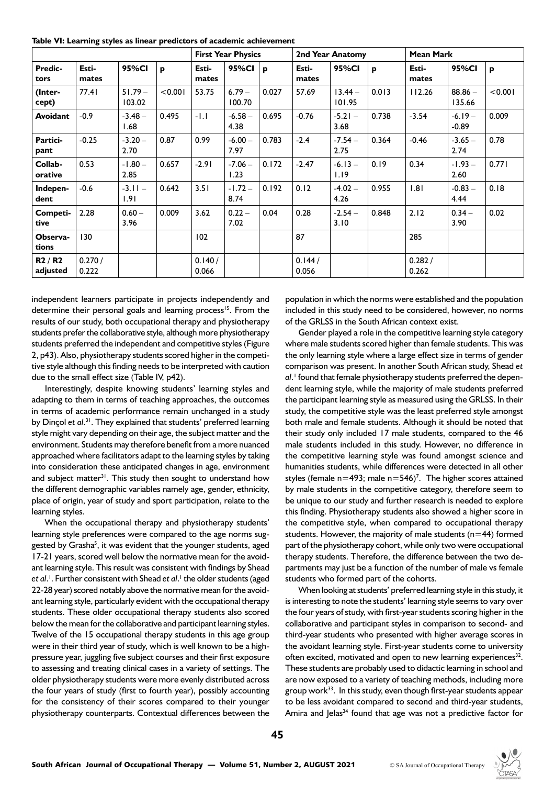**Table VI: Learning styles as linear predictors of academic achievement**

|                    |                 | <b>Mean Mark</b><br><b>First Year Physics</b><br>2nd Year Anatomy |         |                 |                    |       |                 |                     |       |                 |                     |         |
|--------------------|-----------------|-------------------------------------------------------------------|---------|-----------------|--------------------|-------|-----------------|---------------------|-------|-----------------|---------------------|---------|
| Predic-<br>tors    | Esti-<br>mates  | 95%CI                                                             | p       | Esti-<br>mates  | 95%CI              | p     | Esti-<br>mates  | 95%CI               | P     | Esti-<br>mates  | 95%CI               | P       |
| (Inter-<br>cept)   | 77.41           | $51.79 -$<br>103.02                                               | < 0.001 | 53.75           | $6.79 -$<br>100.70 | 0.027 | 57.69           | $13.44 -$<br>101.95 | 0.013 | 112.26          | $88.86 -$<br>135.66 | < 0.001 |
| Avoidant           | $-0.9$          | $-3.48-$<br>1.68                                                  | 0.495   | $-1.1$          | $-6.58 -$<br>4.38  | 0.695 | $-0.76$         | $-5.21 -$<br>3.68   | 0.738 | $-3.54$         | $-6.19-$<br>$-0.89$ | 0.009   |
| Partici-<br>pant   | $-0.25$         | $-3.20 -$<br>2.70                                                 | 0.87    | 0.99            | $-6.00 -$<br>7.97  | 0.783 | $-2.4$          | $-7.54-$<br>2.75    | 0.364 | $-0.46$         | $-3.65-$<br>2.74    | 0.78    |
| Collab-<br>orative | 0.53            | $-1.80 -$<br>2.85                                                 | 0.657   | $-2.91$         | $-7.06 -$<br>1.23  | 0.172 | $-2.47$         | $-6.13-$<br>1.19    | 0.19  | 0.34            | $-1.93-$<br>2.60    | 0.771   |
| Indepen-<br>dent   | $-0.6$          | $-3.11-$<br>1.91                                                  | 0.642   | 3.51            | $-1.72 -$<br>8.74  | 0.192 | 0.12            | $-4.02 -$<br>4.26   | 0.955 | 1.81            | $-0.83 -$<br>4.44   | 0.18    |
| Competi-<br>tive   | 2.28            | $0.60 -$<br>3.96                                                  | 0.009   | 3.62            | $0.22 -$<br>7.02   | 0.04  | 0.28            | $-2.54-$<br>3.10    | 0.848 | 2.12            | $0.34 -$<br>3.90    | 0.02    |
| Observa-<br>tions  | 130             |                                                                   |         | 102             |                    |       | 87              |                     |       | 285             |                     |         |
| R2/R2<br>adjusted  | 0.270/<br>0.222 |                                                                   |         | 0.140/<br>0.066 |                    |       | 0.144/<br>0.056 |                     |       | 0.282/<br>0.262 |                     |         |

independent learners participate in projects independently and determine their personal goals and learning process<sup>15</sup>. From the results of our study, both occupational therapy and physiotherapy students prefer the collaborative style, although more physiotherapy students preferred the independent and competitive styles (Figure 2, p43). Also, physiotherapy students scored higher in the competitive style although this finding needs to be interpreted with caution due to the small effect size (Table IV, p42).

Interestingly, despite knowing students' learning styles and adapting to them in terms of teaching approaches, the outcomes in terms of academic performance remain unchanged in a study by Dinçol et al.<sup>31</sup>. They explained that students' preferred learning style might vary depending on their age, the subject matter and the environment. Students may therefore benefit from a more nuanced approached where facilitators adapt to the learning styles by taking into consideration these anticipated changes in age, environment and subject matter<sup>31</sup>. This study then sought to understand how the different demographic variables namely age, gender, ethnicity, place of origin, year of study and sport participation, relate to the learning styles.

When the occupational therapy and physiotherapy students' learning style preferences were compared to the age norms suggested by Grasha<sup>5</sup>, it was evident that the younger students, aged 17-21 years, scored well below the normative mean for the avoidant learning style. This result was consistent with findings by Shead *et al*. 1 . Further consistent with Shead *et al*. 1 the older students (aged 22-28 year) scored notably above the normative mean for the avoidant learning style, particularly evident with the occupational therapy students. These older occupational therapy students also scored below the mean for the collaborative and participant learning styles. Twelve of the 15 occupational therapy students in this age group were in their third year of study, which is well known to be a highpressure year, juggling five subject courses and their first exposure to assessing and treating clinical cases in a variety of settings. The older physiotherapy students were more evenly distributed across the four years of study (first to fourth year), possibly accounting for the consistency of their scores compared to their younger physiotherapy counterparts. Contextual differences between the

population in which the norms were established and the population included in this study need to be considered, however, no norms of the GRLSS in the South African context exist.

Gender played a role in the competitive learning style category where male students scored higher than female students. This was the only learning style where a large effect size in terms of gender comparison was present. In another South African study, Shead *et al*. 1 found that female physiotherapy students preferred the dependent learning style, while the majority of male students preferred the participant learning style as measured using the GRLSS. In their study, the competitive style was the least preferred style amongst both male and female students. Although it should be noted that their study only included 17 male students, compared to the 46 male students included in this study. However, no difference in the competitive learning style was found amongst science and humanities students, while differences were detected in all other styles (female  $n=493$ ; male  $n=546$ <sup>7</sup>. The higher scores attained by male students in the competitive category, therefore seem to be unique to our study and further research is needed to explore this finding. Physiotherapy students also showed a higher score in the competitive style, when compared to occupational therapy students. However, the majority of male students (n=44) formed part of the physiotherapy cohort, while only two were occupational therapy students. Therefore, the difference between the two departments may just be a function of the number of male vs female students who formed part of the cohorts.

When looking at students' preferred learning style in this study, it is interesting to note the students' learning style seems to vary over the four years of study, with first-year students scoring higher in the collaborative and participant styles in comparison to second- and third-year students who presented with higher average scores in the avoidant learning style. First-year students come to university often excited, motivated and open to new learning experiences<sup>32</sup>. These students are probably used to didactic learning in school and are now exposed to a variety of teaching methods, including more group work33. In this study, even though first-year students appear to be less avoidant compared to second and third-year students, Amira and Jelas<sup>34</sup> found that age was not a predictive factor for

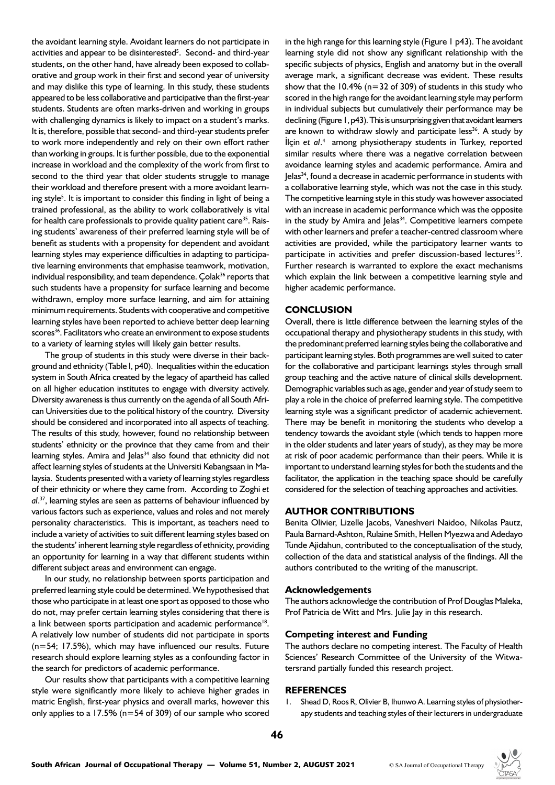the avoidant learning style. Avoidant learners do not participate in activities and appear to be disinterested<sup>5</sup>. Second- and third-year students, on the other hand, have already been exposed to collaborative and group work in their first and second year of university and may dislike this type of learning. In this study, these students appeared to be less collaborative and participative than the first-year students. Students are often marks-driven and working in groups with challenging dynamics is likely to impact on a student's marks. It is, therefore, possible that second- and third-year students prefer to work more independently and rely on their own effort rather than working in groups. It is further possible, due to the exponential increase in workload and the complexity of the work from first to second to the third year that older students struggle to manage their workload and therefore present with a more avoidant learning style<sup>5</sup>. It is important to consider this finding in light of being a trained professional, as the ability to work collaboratively is vital for health care professionals to provide quality patient care<sup>35</sup>. Raising students' awareness of their preferred learning style will be of benefit as students with a propensity for dependent and avoidant learning styles may experience difficulties in adapting to participative learning environments that emphasise teamwork, motivation, individual responsibility, and team dependence. Çolak<sup>36</sup> reports that such students have a propensity for surface learning and become withdrawn, employ more surface learning, and aim for attaining minimum requirements. Students with cooperative and competitive learning styles have been reported to achieve better deep learning scores<sup>36</sup>. Facilitators who create an environment to expose students to a variety of learning styles will likely gain better results.

The group of students in this study were diverse in their background and ethnicity (Table I, p40). Inequalities within the education system in South Africa created by the legacy of apartheid has called on all higher education institutes to engage with diversity actively. Diversity awareness is thus currently on the agenda of all South African Universities due to the political history of the country. Diversity should be considered and incorporated into all aspects of teaching. The results of this study, however, found no relationship between students' ethnicity or the province that they came from and their learning styles. Amira and Jelas<sup>34</sup> also found that ethnicity did not affect learning styles of students at the Universiti Kebangsaan in Malaysia. Students presented with a variety of learning styles regardless of their ethnicity or where they came from. According to Zoghi *et al*. <sup>37</sup>, learning styles are seen as patterns of behaviour influenced by various factors such as experience, values and roles and not merely personality characteristics. This is important, as teachers need to include a variety of activities to suit different learning styles based on the students' inherent learning style regardless of ethnicity, providing an opportunity for learning in a way that different students within different subject areas and environment can engage.

In our study, no relationship between sports participation and preferred learning style could be determined. We hypothesised that those who participate in at least one sport as opposed to those who do not, may prefer certain learning styles considering that there is a link between sports participation and academic performance<sup>18</sup>. A relatively low number of students did not participate in sports (n=54; 17.5%), which may have influenced our results. Future research should explore learning styles as a confounding factor in the search for predictors of academic performance.

Our results show that participants with a competitive learning style were significantly more likely to achieve higher grades in matric English, first-year physics and overall marks, however this only applies to a 17.5% (n=54 of 309) of our sample who scored in the high range for this learning style (Figure 1 p43). The avoidant learning style did not show any significant relationship with the specific subjects of physics, English and anatomy but in the overall average mark, a significant decrease was evident. These results show that the  $10.4\%$  (n=32 of 309) of students in this study who scored in the high range for the avoidant learning style may perform in individual subjects but cumulatively their performance may be declining (Figure 1, p43). This is unsurprising given that avoidant learners are known to withdraw slowly and participate less<sup>36</sup>. A study by İlçin *et al*. 4 among physiotherapy students in Turkey, reported similar results where there was a negative correlation between avoidance learning styles and academic performance. Amira and Jelas<sup>34</sup>, found a decrease in academic performance in students with a collaborative learning style, which was not the case in this study. The competitive learning style in this study was however associated with an increase in academic performance which was the opposite in the study by Amira and Jelas<sup>34</sup>. Competitive learners compete with other learners and prefer a teacher-centred classroom where activities are provided, while the participatory learner wants to participate in activities and prefer discussion-based lectures<sup>15</sup>. Further research is warranted to explore the exact mechanisms which explain the link between a competitive learning style and higher academic performance.

## **CONCLUSION**

Overall, there is little difference between the learning styles of the occupational therapy and physiotherapy students in this study, with the predominant preferred learning styles being the collaborative and participant learning styles. Both programmes are well suited to cater for the collaborative and participant learnings styles through small group teaching and the active nature of clinical skills development. Demographic variables such as age, gender and year of study seem to play a role in the choice of preferred learning style. The competitive learning style was a significant predictor of academic achievement. There may be benefit in monitoring the students who develop a tendency towards the avoidant style (which tends to happen more in the older students and later years of study), as they may be more at risk of poor academic performance than their peers. While it is important to understand learning styles for both the students and the facilitator, the application in the teaching space should be carefully considered for the selection of teaching approaches and activities.

## **AUTHOR CONTRIBUTIONS**

Benita Olivier, Lizelle Jacobs, Vaneshveri Naidoo, Nikolas Pautz, Paula Barnard-Ashton, Rulaine Smith, Hellen Myezwa and Adedayo Tunde Ajidahun, contributed to the conceptualisation of the study, collection of the data and statistical analysis of the findings. All the authors contributed to the writing of the manuscript.

## **Acknowledgements**

The authors acknowledge the contribution of Prof Douglas Maleka, Prof Patricia de Witt and Mrs. Julie Jay in this research.

## **Competing interest and Funding**

The authors declare no competing interest. The Faculty of Health Sciences' Research Committee of the University of the Witwatersrand partially funded this research project.

#### **REFERENCES**

Shead D, Roos R, Olivier B, Ihunwo A. Learning styles of physiotherapy students and teaching styles of their lecturers in undergraduate

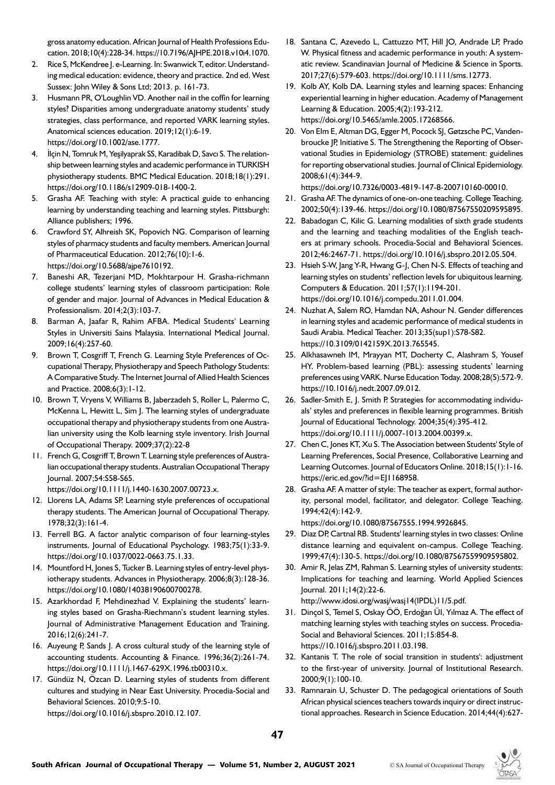gross anatomy education. African Journal of Health Professions Education. 2018;10(4):228-34. https://10.7196/AJHPE.2018.v10i4.1070.

- 2. Rice S, McKendree J. e-Learning. In: Swanwick T, editor. Understanding medical education: evidence, theory and practice. 2nd ed. West Sussex: John Wiley & Sons Ltd; 2013. p. 161-73.
- 3. Husmann PR, O'Loughlin VD. Another nail in the coffin for learning styles? Disparities among undergraduate anatomy students' study strategies, class performance, and reported VARK learning styles. Anatomical sciences education. 2019;12(1):6-19. https://doi.org/10.1002/ase.1777.
- 4. İlçin N, Tomruk M, Yeşilyaprak SS, Karadibak D, Savcı S. The relationship between learning styles and academic performance in TURKISH physiotherapy students. BMC Medical Education. 2018;18(1):291. https://doi.org/10.1186/s12909-018-1400-2.
- 5. Grasha AF. Teaching with style: A practical guide to enhancing learning by understanding teaching and learning styles. Pittsburgh: Alliance publishers; 1996.
- 6. Crawford SY, Alhreish SK, Popovich NG. Comparison of learning styles of pharmacy students and faculty members. American Journal of Pharmaceutical Education. 2012;76(10):1-6. https://doi.org/10.5688/ajpe7610192.
- 7. Baneshi AR, Tezerjani MD, Mokhtarpour H. Grasha-richmann college students' learning styles of classroom participation: Role of gender and major. Journal of Advances in Medical Education & Professionalism. 2014;2(3):103-7.
- 8. Barman A, Jaafar R, Rahim AFBA. Medical Students' Learning Styles in Universiti Sains Malaysia. International Medical Journal. 2009;16(4):257-60.
- 9. Brown T, Cosgriff T, French G. Learning Style Preferences of Occupational Therapy, Physiotherapy and Speech Pathology Students: A Comparative Study. The Internet Journal of Allied Health Sciences and Practice. 2008;6(3):1-12.
- 10. Brown T, Vryens V, Williams B, Jaberzadeh S, Roller L, Palermo C, McKenna L, Hewitt L, Sim J. The learning styles of undergraduate occupational therapy and physiotherapy students from one Australian university using the Kolb learning style inventory. Irish Journal of Occupational Therapy. 2009;37(2):22-8
- 11. French G, Cosgriff T, Brown T. Learning style preferences of Australian occupational therapy students. Australian Occupational Therapy Journal. 2007;54:S58-S65.

https://doi.org/10.1111/j.1440-1630.2007.00723.x.

- 12. Llorens LA, Adams SP. Learning style preferences of occupational therapy students. The American Journal of Occupational Therapy. 1978;32(3):161-4.
- 13. Ferrell BG. A factor analytic comparison of four learning-styles instruments. Journal of Educational Psychology. 1983;75(1):33-9. https://doi.org/10.1037/0022-0663.75.1.33.
- 14. Mountford H, Jones S, Tucker B. Learning styles of entry-level physiotherapy students. Advances in Physiotherapy. 2006;8(3):128-36. https://doi.org/10.1080/14038190600700278.
- 15. Azarkhordad F, Mehdinezhad V. Explaining the students' learning styles based on Grasha-Riechmann's student learning styles. Journal of Administrative Management Education and Training. 2016;12(6):241-7.
- 16. Auyeung P, Sands J. A cross cultural study of the learning style of accounting students. Accounting & Finance. 1996;36(2):261-74. https://doi.org/10.1111/j.1467-629X.1996.tb00310.x.
- 17. Gündüz N, Özcan D. Learning styles of students from different cultures and studying in Near East University. Procedia-Social and Behavioral Sciences. 2010;9:5-10. https://doi.org/10.1016/j.sbspro.2010.12.107.
- 18. Santana C, Azevedo L, Cattuzzo MT, Hill JO, Andrade LP, Prado W. Physical fitness and academic performance in youth: A systematic review. Scandinavian Journal of Medicine & Science in Sports. 2017;27(6):579-603. https://doi.org/10.1111/sms.12773.
- 19. Kolb AY, Kolb DA. Learning styles and learning spaces: Enhancing experiential learning in higher education. Academy of Management Learning & Education. 2005;4(2):193-212. https://doi.org/10.5465/amle.2005.17268566.
- 20. Von Elm E, Altman DG, Egger M, Pocock SJ, Gøtzsche PC, Vandenbroucke JP, Initiative S. The Strengthening the Reporting of Observational Studies in Epidemiology (STROBE) statement: guidelines for reporting observational studies. Journal of Clinical Epidemiology. 2008;61(4):344-9.

https://doi.org/10.7326/0003-4819-147-8-200710160-00010.

- 21. Grasha AF. The dynamics of one-on-one teaching. College Teaching. 2002;50(4):139-46. https://doi.org/10.1080/87567550209595895.
- 22. Babadogan C, Kilic G. Learning modalities of sixth grade students and the learning and teaching modalities of the English teachers at primary schools. Procedia-Social and Behavioral Sciences. 2012;46:2467-71. https://doi.org/10.1016/j.sbspro.2012.05.504.
- 23. Hsieh S-W, Jang Y-R, Hwang G-J, Chen N-S. Effects of teaching and learning styles on students' reflection levels for ubiquitous learning. Computers & Education. 2011;57(1):1194-201. https://doi.org/10.1016/j.compedu.2011.01.004.
- 24. Nuzhat A, Salem RO, Hamdan NA, Ashour N. Gender differences in learning styles and academic performance of medical students in Saudi Arabia. Medical Teacher. 2013;35(sup1):S78-S82. https://10.3109/0142159X.2013.765545.
- 25. Alkhasawneh IM, Mrayyan MT, Docherty C, Alashram S, Yousef HY. Problem-based learning (PBL): assessing students' learning preferences using VARK. Nurse Education Today. 2008;28(5):572-9. https://10.1016/j.nedt.2007.09.012.
- 26. Sadler-Smith E, J. Smith P. Strategies for accommodating individuals' styles and preferences in flexible learning programmes. British Journal of Educational Technology. 2004;35(4):395-412. https://doi.org/10.1111/j.0007-1013.2004.00399.x.
- 27. Chen C, Jones KT, Xu S. The Association between Students' Style of Learning Preferences, Social Presence, Collaborative Learning and Learning Outcomes. Journal of Educators Online. 2018;15(1):1-16. https://eric.ed.gov/?id=EJ1168958.
- 28. Grasha AF. A matter of style: The teacher as expert, formal authority, personal model, facilitator, and delegator. College Teaching. 1994;42(4):142-9.

https://doi.org/10.1080/87567555.1994.9926845.

- 29. Diaz DP, Cartnal RB. Students' learning styles in two classes: Online distance learning and equivalent on-campus. College Teaching. 1999;47(4):130-5. https://doi.org/10.1080/87567559909595802.
- 30. Amir R, Jelas ZM, Rahman S. Learning styles of university students: Implications for teaching and learning. World Applied Sciences Journal. 2011;14(2):22-6.

http://www.idosi.org/wasj/wasj14(IPDL)11/5.pdf.

- 31. Dinçol S, Temel S, Oskay ÖÖ, Erdoğan ÜI, Yılmaz A. The effect of matching learning styles with teaching styles on success. Procedia-Social and Behavioral Sciences. 2011;15:854-8. https://10.1016/j.sbspro.2011.03.198.
- 32. Kantanis T. The role of social transition in students': adjustment to the first-year of university. Journal of Institutional Research. 2000;9(1):100-10.
- 33. Ramnarain U, Schuster D. The pedagogical orientations of South African physical sciences teachers towards inquiry or direct instructional approaches. Research in Science Education. 2014;44(4):627-